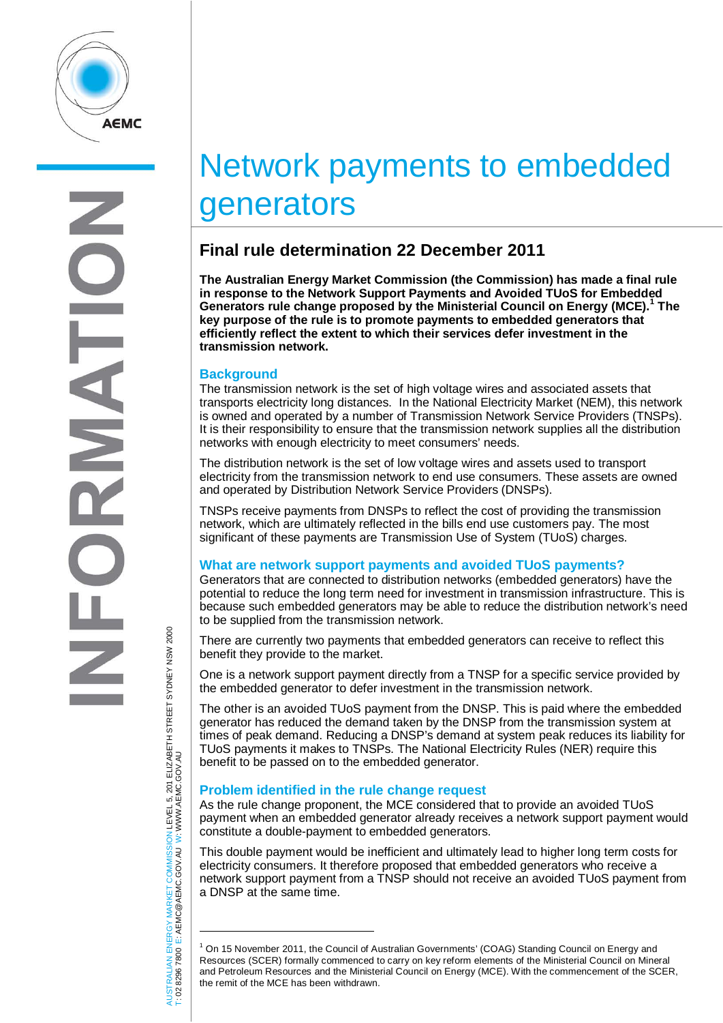

# Network payments to embedded generators

# **Final rule determination 22 December 2011**

**The Australian Energy Market Commission (the Commission) has made a final rule in response to the Network Support Payments and Avoided TUoS for Embedded Generators rule change proposed by the Ministerial Council on Energy (MCE). [1](#page-0-0) The key purpose of the rule is to promote payments to embedded generators that efficiently reflect the extent to which their services defer investment in the transmission network.** 

# **Background**

The transmission network is the set of high voltage wires and associated assets that transports electricity long distances. In the National Electricity Market (NEM), this network is owned and operated by a number of Transmission Network Service Providers (TNSPs). It is their responsibility to ensure that the transmission network supplies all the distribution networks with enough electricity to meet consumers' needs.

The distribution network is the set of low voltage wires and assets used to transport electricity from the transmission network to end use consumers. These assets are owned and operated by Distribution Network Service Providers (DNSPs).

TNSPs receive payments from DNSPs to reflect the cost of providing the transmission network, which are ultimately reflected in the bills end use customers pay. The most significant of these payments are Transmission Use of System (TUoS) charges.

# **What are network support payments and avoided TUoS payments?**

Generators that are connected to distribution networks (embedded generators) have the potential to reduce the long term need for investment in transmission infrastructure. This is because such embedded generators may be able to reduce the distribution network's need to be supplied from the transmission network.

There are currently two payments that embedded generators can receive to reflect this benefit they provide to the market.

One is a network support payment directly from a TNSP for a specific service provided by the embedded generator to defer investment in the transmission network.

The other is an avoided TUoS payment from the DNSP. This is paid where the embedded generator has reduced the demand taken by the DNSP from the transmission system at times of peak demand. Reducing a DNSP's demand at system peak reduces its liability for TUoS payments it makes to TNSPs. The National Electricity Rules (NER) require this benefit to be passed on to the embedded generator.

# **Problem identified in the rule change request**

As the rule change proponent, the MCE considered that to provide an avoided TUoS payment when an embedded generator already receives a network support payment would constitute a double-payment to embedded generators.

This double payment would be inefficient and ultimately lead to higher long term costs for electricity consumers. It therefore proposed that embedded generators who receive a network support payment from a TNSP should not receive an avoided TUoS payment from a DNSP at the same time.

NERGY MARKET COMMISSION LEVEL 5, 201 ELIZABETH STREET SYDNEY NSM 2000<br>E: AEMC@AEMC.GOV.AU W: WWW.AEMC.GOV.AU AUSTRALIAN ENERGY MARKET COMMISSION LEVEL 5, 201 ELIZABETH STREET SYDNEY NSW 2000 W: WWW.AEMC.GOV.AU T: 02 8296 7800 E: AEMC@AEMC.GOV.AU AUSTRALIAN EN<br>T: 02 8296 7800

 $\overline{a}$ 

<span id="page-0-0"></span><sup>1</sup> On 15 November 2011, the Council of Australian Governments' (COAG) Standing Council on Energy and Resources (SCER) formally commenced to carry on key reform elements of the Ministerial Council on Mineral and Petroleum Resources and the Ministerial Council on Energy (MCE). With the commencement of the SCER, the remit of the MCE has been withdrawn.